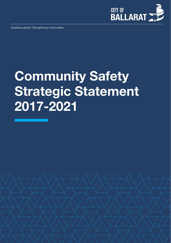

Sustaining growth. Strengthening communities.

# **Community Safety Strategic Statement 2017-2021**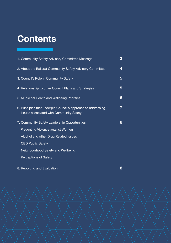# **Contents**

| 1. Community Safety Advisory Committee Message                                                          | 3 |
|---------------------------------------------------------------------------------------------------------|---|
| 2. About the Ballarat Community Safety Advisory Committee                                               | 4 |
| 3. Council's Role in Community Safety                                                                   | 5 |
| 4. Relationship to other Council Plans and Strategies                                                   | 5 |
| 5. Municipal Health and Wellbeing Priorities                                                            | 6 |
| 6. Principles that underpin Council's approach to addressing<br>issues associated with Community Safety | 7 |
| 7. Community Safety Leadership Opportunities                                                            | 8 |
| Preventing Violence against Women                                                                       |   |
| Alcohol and other Drug Related Issues                                                                   |   |
| <b>CBD Public Safety</b>                                                                                |   |
| Neighbourhood Safety and Wellbeing                                                                      |   |
| <b>Perceptions of Safety</b>                                                                            |   |
|                                                                                                         |   |

8. Reporting and Evaluation **8**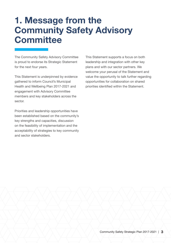### **1. Message from the Community Safety Advisory Committee**

The Community Safety Advisory Committee is proud to endorse its Strategic Statement for the next four years.

This Statement is underpinned by evidence gathered to inform Council's Municipal Health and Wellbeing Plan 2017-2021 and engagement with Advisory Committee members and key stakeholders across the sector.

Priorities and leadership opportunities have been established based on the community's key strengths and capacities, discussion on the feasibility of implementation and the acceptability of strategies to key community and sector stakeholders.

This Statement supports a focus on both leadership and integration with other key plans and with our sector partners. We welcome your perusal of the Statement and value the opportunity to talk further regarding opportunities for collaboration on shared priorities identified within the Statement.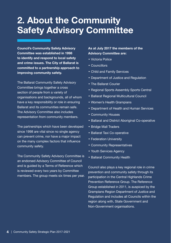#### **2. About the Community Safety Advisory Committee**

**Council's Community Safety Advisory Committee was established in 1998 to identify and respond to local safety and crime issues. The City of Ballarat is committed to a partnership approach to improving community safety.**

The Ballarat Community Safety Advisory Committee brings together a cross section of people from a variety of organisations and backgrounds, all of whom have a key responsibility or role in ensuring Ballarat and its communities remain safe. The Advisory Committee also includes representation from community members.

The partnerships which have been developed since 1998 are vital since no single agency can prevent crime, nor have a major impact on the many complex factors that influence community safety.

The Community Safety Advisory Committee is an endorsed Advisory Committee of Council and is guided by a Terms of Reference which is reviewed every two years by Committee members. The group meets six times per year.

#### **As at July 2017 the members of the Advisory Committee are:**

- Victoria Police
- Councillors
- Child and Family Services
- Department of Justice and Regulation
- The Ballarat Courier
- Regional Sports Assembly Sports Central
- Ballarat Regional Multicultural Council
- Women's Health Grampians
- Department of Health and Human Services
- Community Houses
- Ballarat and District Aboriginal Co-operative
- Bridge Mall Traders
- Ballarat Taxi Co-operative
- Federation University
- Community Representatives
- Youth Services Agency
- Ballarat Community Health

Council also plays a key regional role in crime prevention and community safety through its participation in the Central Highlands Crime Prevention Reference Group. The Reference Group established in 2011, is auspiced by the Grampians Region Department of Justice and Regulation and includes all Councils within the region along with, State Government and Non-Government organisations.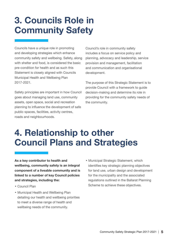# **3. Councils Role in Community Safety**

Councils have a unique role in promoting and developing strategies which enhance community safety and wellbeing. Safety, along with shelter and food, is considered the basic pre-condition for health and as such this Statement is closely aligned with Councils Municipal Health and Wellbeing Plan 2017-2021.

Safety principles are important in how Council goes about managing land use, community assets, open space, social and recreation planning to influence the development of safe public spaces, facilities, activity centres, roads and neighbourhoods.

Council's role in community safety includes a focus on service policy and planning, advocacy and leadership, service provision and management, facilitation and communication and organisational development.

The purpose of this Strategic Statement is to provide Council with a framework to guide decision-making and determine its role in providing for the community safety needs of the community.

## **4. Relationship to other Council Plans and Strategies**

**As a key contributor to health and wellbeing, community safety is an integral component of a liveable community and is linked to a number of key Council policies and strategies, including the:**

- Council Plan
- Municipal Health and Wellbeing Plan detailing our health and wellbeing priorities to meet a diverse range of health and wellbeing needs of the community.
- Municipal Strategic Statement, which identifies key strategic planning objectives for land use, urban design and development for the municipality and the associated regulations outlined in the Ballarat Planning Scheme to achieve these objectives.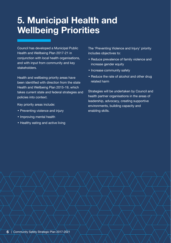## **5. Municipal Health and Wellbeing Priorities**

Council has developed a Municipal Public Health and Wellbeing Plan 2017-21 in conjunction with local health organisations. and with input from community and key stakeholders.

Health and wellbeing priority areas have been identified with direction from the state Health and Wellbeing Plan 2015-19, which takes current state and federal strategies and policies into context.

Key priority areas include:

- Preventing violence and injury
- Improving mental health
- Healthy eating and active living

The 'Preventing Violence and Injury' priority includes objectives to:

- Reduce prevalence of family violence and increase gender equity
- Increase community safety
- Reduce the rate of alcohol and other drug related harm

Strategies will be undertaken by Council and health partner organisations in the areas of leadership, advocacy, creating supportive environments, building capacity and enabling skills.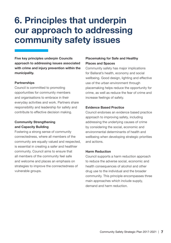## **6. Principles that underpin our approach to addressing community safety issues**

**Five key principles underpin Councils approach to addressing issues associated with crime and injury prevention within the municipality.**

#### **Partnerships**

Council is committed to promoting opportunities for community members and organisations to embrace in their everyday activities and work. Partners share responsibility and leadership for safety and contribute to effective decision making.

#### **Community Strengthening and Capacity Building**

Fostering a strong sense of community connectedness, where all members of the community are equally valued and respected, is essential in creating a safer and healthier community. Council aims to ensure that all members of the community feel safe and welcome and places an emphasis on strategies to improve the connectedness of vulnerable groups.

#### **Placemaking for Safe and Healthy Places and Spaces**

Community safety has major implications for Ballarat's health, economy and social wellbeing. Good design, lighting and effective use of the urban environment through placemaking helps reduce the opportunity for crime, as well as reduce the fear of crime and increase feelings of safety.

#### **Evidence Based Practice**

Council endorses an evidence based practice approach to improving safety, including addressing the underlying causes of crime by considering the social, economic and environmental determinants of health and wellbeing when developing strategic priorities and actions.

#### **Harm Reduction**

Council supports a harm reduction approach to reduce the adverse social, economic and health consequences of alcohol and other drug use to the individual and the broader community. This principle encompasses three main approaches which include supply, demand and harm reduction.